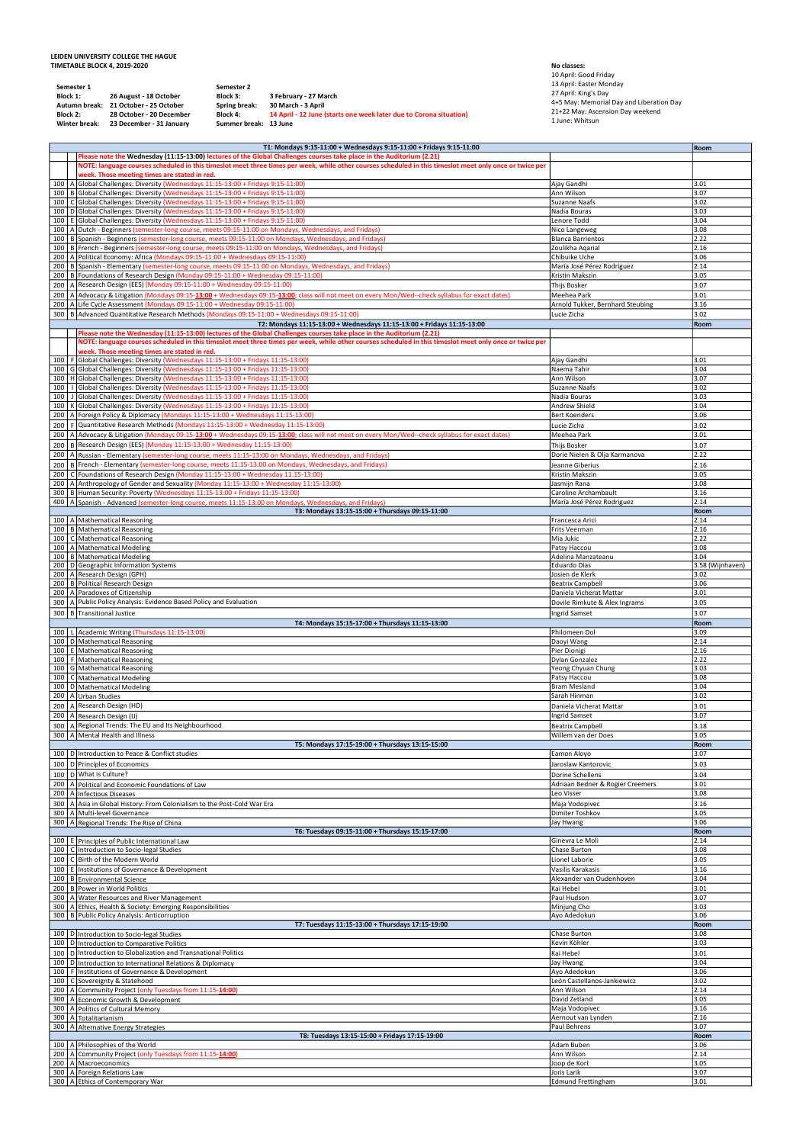## LEIDEN UNIVERSITY COLLEGE THE HAGUE TIMETABLE BLOCK 4, 2019-2020

|                   |                      | LEIDEN UNIVERSITY COLLEGE THE HAGUE                                                                                                                                                                                                                 |                                       |                                                                                                                                                                                                                                                                                                                                                         |                                                                                                      |                                  |
|-------------------|----------------------|-----------------------------------------------------------------------------------------------------------------------------------------------------------------------------------------------------------------------------------------------------|---------------------------------------|---------------------------------------------------------------------------------------------------------------------------------------------------------------------------------------------------------------------------------------------------------------------------------------------------------------------------------------------------------|------------------------------------------------------------------------------------------------------|----------------------------------|
|                   |                      | <b>TIMETABLE BLOCK 4, 2019-2020</b><br>Semester 1                                                                                                                                                                                                   | Semester 2                            |                                                                                                                                                                                                                                                                                                                                                         | No classes:<br>10 April: Good Friday<br>13 April: Easter Monday                                      |                                  |
|                   | Block 1:<br>Block 2: | 26 August - 18 October<br>Autumn break:<br>21 October - 25 October<br>28 October - 20 December                                                                                                                                                      | Block 3:<br>Spring break:<br>Block 4: | 3 February - 27 March<br>30 March - 3 April<br>14 April - 12 June (starts one week later due to Corona situation)                                                                                                                                                                                                                                       | 27 April: King's Day<br>4+5 May: Memorial Day and Liberation Day<br>21+22 May: Ascension Day weekend |                                  |
|                   |                      | Winter break: 23 December - 31 January                                                                                                                                                                                                              | Summer break: 13 June                 |                                                                                                                                                                                                                                                                                                                                                         | 1 June: Whitsun                                                                                      |                                  |
|                   |                      |                                                                                                                                                                                                                                                     |                                       | T1: Mondays 9:15-11:00 + Wednesdays 9:15-11:00 + Fridays 9:15-11:00<br>Please note the Wednesday (11:15-13:00) lectures of the Global Challenges courses take place in the Auditorium (2.21)<br>NOTE: language courses scheduled in this timeslot meet three times per week, while other courses scheduled in this timeslot meet only once or twice per |                                                                                                      | Room                             |
| 100<br>100        |                      | week. Those meeting times are stated in red.<br>A Global Challenges: Diversity (Wednesdays 11:15-13:00 + Fridays 9:15-11:00)<br>B Global Challenges: Diversity (Wednesdays 11:15-13:00 + Fridays 9:15-11:00)                                        |                                       |                                                                                                                                                                                                                                                                                                                                                         | Ajay Gandhi<br>Ann Wilson                                                                            | 3.01<br>3.07                     |
| 100<br>100        |                      | C Global Challenges: Diversity (Wednesdays 11:15-13:00 + Fridays 9:15-11:00)<br>100   D Global Challenges: Diversity (Wednesdays 11:15-13:00 + Fridays 9:15-11:00)<br>E Global Challenges: Diversity (Wednesdays 11:15-13:00 + Fridays 9:15-11:00)  |                                       |                                                                                                                                                                                                                                                                                                                                                         | Suzanne Naafs<br>Nadia Bouras<br>Lenore Todd                                                         | 3.02<br>3.03<br>3.04             |
| 100<br>100        |                      |                                                                                                                                                                                                                                                     |                                       | A Dutch - Beginners (semester-long course, meets 09:15-11:00 on Mondays, Wednesdays, and Fridays)<br>B Spanish - Beginners (semester-long course, meets 09:15-11:00 on Mondays, Wednesdays, and Fridays)                                                                                                                                                | Nico Langeweg<br><b>Blanca Barrientos</b>                                                            | 3.08<br>2.22                     |
| 100<br>200        |                      | 200   A   Political Economy: Africa (Mondays 09:15-11:00 + Wednesdays 09:15-11:00)                                                                                                                                                                  |                                       | B   French - Beginners (semester-long course, meets 09:15-11:00 on Mondays, Wednesdays, and Fridays)<br>B Spanish - Elementary (semester-long course, meets 09:15-11:00 on Mondays, Wednesdays, and Fridays)                                                                                                                                            | Zoulikha Agarial<br>Chibuike Uche<br>María José Pérez Rodriguez                                      | 2.16<br>3.06<br>2.14             |
|                   |                      | 200   B   Foundations of Research Design (Monday 09:15-11:00 + Wednesday 09:15-11:00)<br>200   A Research Design (EES) (Monday 09:15-11:00 + Wednesday 09:15-11:00)                                                                                 |                                       | 200   A Advocacy & Litigation (Mondays 09:15-13:00 + Wednesdays 09:15-13:00; class will not meet on every Mon/Wed--check syllabus for exact dates)                                                                                                                                                                                                      | Kristin Makszin<br>Thijs Bosker<br>Meehea Park                                                       | 3.05<br>3.07<br>3.01             |
|                   |                      | 200   A Life Cycle Assessment (Mondays 09:15-11:00 + Wednesday 09:15-11:00)                                                                                                                                                                         |                                       | 300   B Advanced Quantitative Research Methods (Mondays 09:15-11:00 + Wednesdays 09:15-11:00)<br>T2: Mondays 11:15-13:00 + Wednesdays 11:15-13:00 + Fridays 11:15-13:00                                                                                                                                                                                 | Arnold Tukker, Bernhard Steubing<br>Lucie Zicha                                                      | 3.16<br>3.02<br>Room             |
|                   |                      |                                                                                                                                                                                                                                                     |                                       | Please note the Wednesday (11:15-13:00) lectures of the Global Challenges courses take place in the Auditorium (2.21)<br>NOTE: language courses scheduled in this timeslot meet three times per week, while other courses scheduled in this timeslot meet only once or twice per                                                                        |                                                                                                      |                                  |
| 100<br>100        |                      | week. Those meeting times are stated in red.<br>F Global Challenges: Diversity (Wednesdays 11:15-13:00 + Fridays 11:15-13:00)<br>G Global Challenges: Diversity (Wednesdays 11:15-13:00 + Fridays 11:15-13:00)                                      |                                       |                                                                                                                                                                                                                                                                                                                                                         | Ajay Gandhi<br>Naema Tahir                                                                           | 3.01<br>3.04                     |
| 100<br>100        |                      | 100   H Global Challenges: Diversity (Wednesdays 11:15-13:00 + Fridays 11:15-13:00)<br>Global Challenges: Diversity (Wednesdays 11:15-13:00 + Fridays 11:15-13:00)<br>J Global Challenges: Diversity (Wednesdays 11:15-13:00 + Fridays 11:15-13:00) |                                       |                                                                                                                                                                                                                                                                                                                                                         | Ann Wilson<br><b>Suzanne Naafs</b><br>Nadia Bouras                                                   | 3.07<br>3.02<br>3.03             |
| 100<br>200<br>200 |                      | K Global Challenges: Diversity (Wednesdays 11:15-13:00 + Fridays 11:15-13:00)<br>A Foreign Policy & Diplomacy (Mondays 11:15-13:00 + Wednesdays 11:15-13:00)<br>F Quantitative Research Methods (Mondays 11:15-13:00 + Wednesday 11:15-13:00)       |                                       |                                                                                                                                                                                                                                                                                                                                                         | Andrew Shield<br><b>Bert Koenders</b><br>Lucie Zicha                                                 | 3.04<br>3.06<br>3.02             |
| 200<br>200        |                      | B Research Design (EES) (Monday 11:15-13:00 + Wednesday 11:15-13:00)                                                                                                                                                                                |                                       | A Advocacy & Litigation (Mondays 09:15-13:00 + Wednesdays 09:15-13:00; class will not meet on every Mon/Wed--check syllabus for exact dates)                                                                                                                                                                                                            | Meehea Park<br><b>Thijs Bosker</b>                                                                   | 3.01<br>3.07                     |
| 200               |                      | 200   C Foundations of Research Design (Monday 11:15-13:00 + Wednesday 11:15-13:00)                                                                                                                                                                 |                                       | A Russian - Elementary (semester-long course, meets 11:15-13:00 on Mondays, Wednesdays, and Fridays)<br>200   B   French - Elementary (semester-long course, meets 11:15-13:00 on Mondays, Wednesdays, and Fridays)                                                                                                                                     | Dorie Nielen & Olja Karmanova<br>Jeanne Giberius<br>Kristin Makszin                                  | 2.22<br>2.16<br>3.05             |
| 200<br>400        |                      | A Anthropology of Gender and Sexuality (Monday 11:15-13:00 + Wednesday 11:15-13:00)<br>300   B   Human Security: Poverty (Wednesdays 11:15-13:00 + Fridays 11:15-13:00)                                                                             |                                       | A Spanish - Advanced (semester-long course, meets 11:15-13:00 on Mondays, Wednesdays, and Fridays)                                                                                                                                                                                                                                                      | Jasmijn Rana<br>Caroline Archambault<br>María José Pérez Rodriguez                                   | 3.08<br>3.16<br>2.14             |
|                   |                      | 100   A Mathematical Reasoning<br>100 B Mathematical Reasoning                                                                                                                                                                                      |                                       | T3: Mondays 13:15-15:00 + Thursdays 09:15-11:00                                                                                                                                                                                                                                                                                                         | Francesca Arici                                                                                      | Room<br>2.14                     |
| 100<br>100        |                      | C   Mathematical Reasoning<br>A Mathematical Modeling                                                                                                                                                                                               |                                       |                                                                                                                                                                                                                                                                                                                                                         | Frits Veerman<br>Mia Jukic<br>Patsy Haccou                                                           | 2.16<br>2.22<br>3.08             |
|                   |                      | 100 B Mathematical Modeling<br>200   D Geographic Information Systems<br>200   A Research Design (GPH)                                                                                                                                              |                                       |                                                                                                                                                                                                                                                                                                                                                         | Adelina Manzateanu<br><b>Eduardo Dias</b><br>Josien de Klerk                                         | 3.04<br>3.58 (Wijnhaven)<br>3.02 |
|                   |                      | 200   B   Political Research Design<br>200   A Paradoxes of Citizenship<br>300   A Public Policy Analysis: Evidence Based Policy and Evaluation                                                                                                     |                                       |                                                                                                                                                                                                                                                                                                                                                         | <b>Beatrix Campbell</b><br>Daniela Vicherat Mattar<br>Dovile Rimkute & Alex Ingrams                  | 3.06<br>3.01<br>3.05             |
|                   |                      | 300   B Transitional Justice<br>100   L Academic Writing (Thursdays 11:15-13:00)                                                                                                                                                                    |                                       | T4: Mondays 15:15-17:00 + Thursdays 11:15-13:00                                                                                                                                                                                                                                                                                                         | <b>Ingrid Samset</b><br>Philomeen Dol                                                                | 3.07<br>Room<br>3.09             |
|                   |                      | 100   D Mathematical Reasoning<br>100 E Mathematical Reasoning                                                                                                                                                                                      |                                       |                                                                                                                                                                                                                                                                                                                                                         | Daoyi Wang<br>Pier Dionigi                                                                           | 2.14<br>2.16                     |
| 100<br>100<br>100 |                      | F   Mathematical Reasoning<br>G Mathematical Reasoning<br>C   Mathematical Modeling                                                                                                                                                                 |                                       |                                                                                                                                                                                                                                                                                                                                                         | Dylan Gonzalez<br>Yeong Chyuan Chung<br>Patsy Haccou                                                 | 2.22<br>3.03<br>3.08             |
| 200               |                      | 100   D   Mathematical Modeling<br>200   A Urban Studies<br>A Research Design (HD)                                                                                                                                                                  |                                       |                                                                                                                                                                                                                                                                                                                                                         | <b>Bram Mesland</b><br>Sarah Hinman<br>Daniela Vicherat Mattar                                       | 3.04<br>3.02<br>3.01             |
|                   |                      | 200   A Research Design (IJ)<br>300   A Regional Trends: The EU and Its Neighbourhood<br>300   A Mental Health and Illness                                                                                                                          |                                       |                                                                                                                                                                                                                                                                                                                                                         | Ingrid Samset<br>Beatrix Campbell<br>Willem van der Does                                             | 3.07<br>3.18<br>3.05             |
|                   |                      | 100   D   Introduction to Peace & Conflict studies                                                                                                                                                                                                  |                                       | T5: Mondays 17:15-19:00 + Thursdays 13:15-15:00                                                                                                                                                                                                                                                                                                         | Eamon Aloyo                                                                                          | Room<br>3.07                     |
| 200               |                      | 100 D Principles of Economics<br>100 D What is Culture?<br>A Political and Economic Foundations of Law                                                                                                                                              |                                       |                                                                                                                                                                                                                                                                                                                                                         | Jaroslaw Kantorovic<br>Dorine Schellens<br>Adriaan Bedner & Rogier Creemers                          | 3.03<br>3.04<br>3.01             |
| 300<br>300        |                      | 200   A   Infectious Diseases<br>A Asia in Global History: From Colonialism to the Post-Cold War Era<br>A Multi-level Governance                                                                                                                    |                                       |                                                                                                                                                                                                                                                                                                                                                         | Leo Visser<br>Maja Vodopivec<br>Dimiter Toshkov                                                      | 3.08<br>3.16<br>3.05             |
|                   |                      | 300   A Regional Trends: The Rise of China                                                                                                                                                                                                          |                                       | T6: Tuesdays 09:15-11:00 + Thursdays 15:15-17:00                                                                                                                                                                                                                                                                                                        | Jay Hwang                                                                                            | 3.06<br>Room                     |
| 100               |                      | 100 E Principles of Public International Law<br>100   C Introduction to Socio-legal Studies<br>C Birth of the Modern World                                                                                                                          |                                       |                                                                                                                                                                                                                                                                                                                                                         | Ginevra Le Moli<br>Chase Burton<br>Lionel Laborie                                                    | 2.14<br>3.08<br>3.05             |
| 100               |                      | 100 E Institutions of Governance & Development<br>B Environmental Science<br>200   B Power in World Politics                                                                                                                                        |                                       |                                                                                                                                                                                                                                                                                                                                                         | Vasilis Karakasis<br>Alexander van Oudenhoven<br>Kai Hebel                                           | 3.16<br>3.04<br>3.01             |
|                   |                      | 300   A Water Resources and River Management<br>300   A Ethics, Health & Society: Emerging Responsibilities<br>300   B   Public Policy Analysis: Anticorruption                                                                                     |                                       |                                                                                                                                                                                                                                                                                                                                                         | Paul Hudson<br>Minjung Cho<br>Ayo Adedokun                                                           | 3.07<br>3.03<br>3.06             |
|                   |                      | 100 D Introduction to Socio-legal Studies<br>100 D Introduction to Comparative Politics                                                                                                                                                             |                                       | T7: Tuesdays 11:15-13:00 + Thursdays 17:15-19:00                                                                                                                                                                                                                                                                                                        | Chase Burton<br>Kevin Köhler                                                                         | Room<br>3.08<br>3.03             |
| 100               |                      | D Introduction to Globalization and Transnational Politics<br>100 D Introduction to International Relations & Diplomacy                                                                                                                             |                                       |                                                                                                                                                                                                                                                                                                                                                         | Kai Hebel<br>Jay Hwang                                                                               | 3.01<br>3.04                     |
| 100<br>100        |                      | F Institutions of Governance & Development<br>C Sovereignty & Statehood<br>200   A Community Project (only Tuesdays from 11:15-14:00)                                                                                                               |                                       |                                                                                                                                                                                                                                                                                                                                                         | Ayo Adedokun<br>León Castellanos-Jankiewicz<br>Ann Wilson                                            | 3.06<br>3.02<br>2.14             |
| 300<br>300        |                      | A Economic Growth & Development<br>A Politics of Cultural Memory<br>300   A Totalitarianism                                                                                                                                                         |                                       |                                                                                                                                                                                                                                                                                                                                                         | David Zetland<br>Maja Vodopivec<br>Aernout van Lynden                                                | 3.05<br>3.16<br>2.16             |
| 300               |                      | A Alternative Energy Strategies<br>100   A Philosophies of the World                                                                                                                                                                                |                                       | T8: Tuesdays 13:15-15:00 + Fridays 17:15-19:00                                                                                                                                                                                                                                                                                                          | Paul Behrens<br>Adam Buben                                                                           | 3.07<br>Room<br>3.06             |
| 200               |                      | 200   A Community Project (only Tuesdays from 11:15-14:00)<br>A Macroeconomics<br>300 A Foreign Relations Law                                                                                                                                       |                                       |                                                                                                                                                                                                                                                                                                                                                         | Ann Wilson<br>Joop de Kort<br>Joris Larik                                                            | 2.14<br>3.05<br>3.07             |
|                   |                      | 300   A Ethics of Contemporary War                                                                                                                                                                                                                  |                                       |                                                                                                                                                                                                                                                                                                                                                         | Edmund Frettingham                                                                                   | 3.01                             |